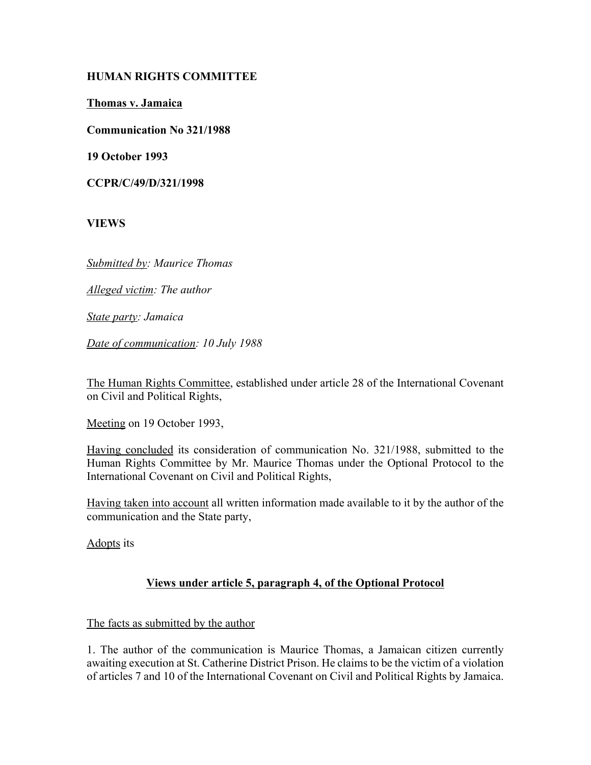## **HUMAN RIGHTS COMMITTEE**

**Thomas v. Jamaica**

**Communication No 321/1988**

**19 October 1993**

**CCPR/C/49/D/321/1998**

**VIEWS**

*Submitted by: Maurice Thomas* 

*Alleged victim: The author* 

*State party: Jamaica* 

*Date of communication: 10 July 1988* 

The Human Rights Committee, established under article 28 of the International Covenant on Civil and Political Rights,

Meeting on 19 October 1993,

Having concluded its consideration of communication No. 321/1988, submitted to the Human Rights Committee by Mr. Maurice Thomas under the Optional Protocol to the International Covenant on Civil and Political Rights,

Having taken into account all written information made available to it by the author of the communication and the State party,

Adopts its

## **Views under article 5, paragraph 4, of the Optional Protocol**

## The facts as submitted by the author

1. The author of the communication is Maurice Thomas, a Jamaican citizen currently awaiting execution at St. Catherine District Prison. He claims to be the victim of a violation of articles 7 and 10 of the International Covenant on Civil and Political Rights by Jamaica.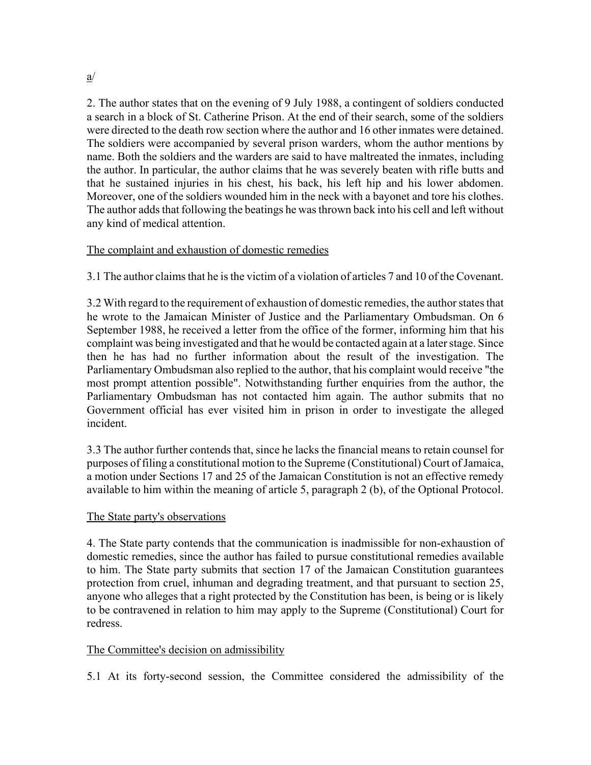2. The author states that on the evening of 9 July 1988, a contingent of soldiers conducted a search in a block of St. Catherine Prison. At the end of their search, some of the soldiers were directed to the death row section where the author and 16 other inmates were detained. The soldiers were accompanied by several prison warders, whom the author mentions by name. Both the soldiers and the warders are said to have maltreated the inmates, including the author. In particular, the author claims that he was severely beaten with rifle butts and that he sustained injuries in his chest, his back, his left hip and his lower abdomen. Moreover, one of the soldiers wounded him in the neck with a bayonet and tore his clothes. The author adds that following the beatings he was thrown back into his cell and left without any kind of medical attention.

# The complaint and exhaustion of domestic remedies

3.1 The author claims that he is the victim of a violation of articles 7 and 10 of the Covenant.

3.2 With regard to the requirement of exhaustion of domestic remedies, the author states that he wrote to the Jamaican Minister of Justice and the Parliamentary Ombudsman. On 6 September 1988, he received a letter from the office of the former, informing him that his complaint was being investigated and that he would be contacted again at a later stage. Since then he has had no further information about the result of the investigation. The Parliamentary Ombudsman also replied to the author, that his complaint would receive "the most prompt attention possible". Notwithstanding further enquiries from the author, the Parliamentary Ombudsman has not contacted him again. The author submits that no Government official has ever visited him in prison in order to investigate the alleged incident.

3.3 The author further contends that, since he lacks the financial means to retain counsel for purposes of filing a constitutional motion to the Supreme (Constitutional) Court of Jamaica, a motion under Sections 17 and 25 of the Jamaican Constitution is not an effective remedy available to him within the meaning of article 5, paragraph 2 (b), of the Optional Protocol.

## The State party's observations

4. The State party contends that the communication is inadmissible for non-exhaustion of domestic remedies, since the author has failed to pursue constitutional remedies available to him. The State party submits that section 17 of the Jamaican Constitution guarantees protection from cruel, inhuman and degrading treatment, and that pursuant to section 25, anyone who alleges that a right protected by the Constitution has been, is being or is likely to be contravened in relation to him may apply to the Supreme (Constitutional) Court for redress.

## The Committee's decision on admissibility

5.1 At its forty-second session, the Committee considered the admissibility of the

a/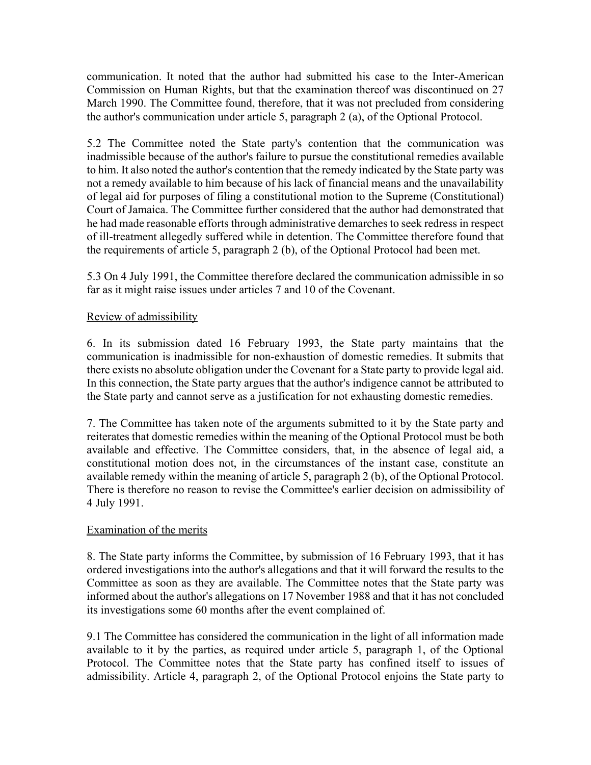communication. It noted that the author had submitted his case to the Inter-American Commission on Human Rights, but that the examination thereof was discontinued on 27 March 1990. The Committee found, therefore, that it was not precluded from considering the author's communication under article 5, paragraph 2 (a), of the Optional Protocol.

5.2 The Committee noted the State party's contention that the communication was inadmissible because of the author's failure to pursue the constitutional remedies available to him. It also noted the author's contention that the remedy indicated by the State party was not a remedy available to him because of his lack of financial means and the unavailability of legal aid for purposes of filing a constitutional motion to the Supreme (Constitutional) Court of Jamaica. The Committee further considered that the author had demonstrated that he had made reasonable efforts through administrative demarches to seek redress in respect of ill-treatment allegedly suffered while in detention. The Committee therefore found that the requirements of article 5, paragraph 2 (b), of the Optional Protocol had been met.

5.3 On 4 July 1991, the Committee therefore declared the communication admissible in so far as it might raise issues under articles 7 and 10 of the Covenant.

## Review of admissibility

6. In its submission dated 16 February 1993, the State party maintains that the communication is inadmissible for non-exhaustion of domestic remedies. It submits that there exists no absolute obligation under the Covenant for a State party to provide legal aid. In this connection, the State party argues that the author's indigence cannot be attributed to the State party and cannot serve as a justification for not exhausting domestic remedies.

7. The Committee has taken note of the arguments submitted to it by the State party and reiterates that domestic remedies within the meaning of the Optional Protocol must be both available and effective. The Committee considers, that, in the absence of legal aid, a constitutional motion does not, in the circumstances of the instant case, constitute an available remedy within the meaning of article 5, paragraph 2 (b), of the Optional Protocol. There is therefore no reason to revise the Committee's earlier decision on admissibility of 4 July 1991.

#### Examination of the merits

8. The State party informs the Committee, by submission of 16 February 1993, that it has ordered investigations into the author's allegations and that it will forward the results to the Committee as soon as they are available. The Committee notes that the State party was informed about the author's allegations on 17 November 1988 and that it has not concluded its investigations some 60 months after the event complained of.

9.1 The Committee has considered the communication in the light of all information made available to it by the parties, as required under article 5, paragraph 1, of the Optional Protocol. The Committee notes that the State party has confined itself to issues of admissibility. Article 4, paragraph 2, of the Optional Protocol enjoins the State party to